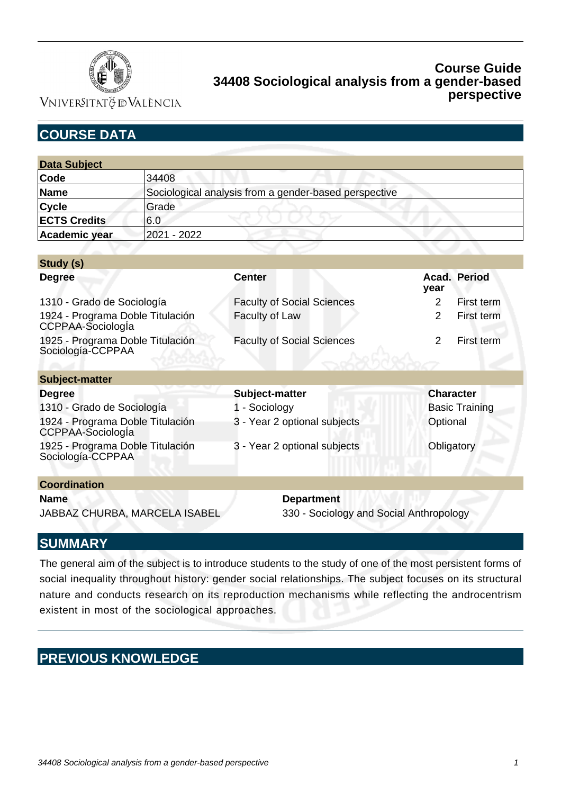

VNIVERSITATÖ ID VALÈNCIA

# **COURSE DATA**

**Study (s)**

| <b>Data Subject</b> |                                                       |
|---------------------|-------------------------------------------------------|
| Code                | 34408                                                 |
| Name                | Sociological analysis from a gender-based perspective |
| <b>Cycle</b>        | Grade                                                 |
| <b>ECTS Credits</b> | 16.0                                                  |
| Academic year       | 2021 - 2022                                           |

| Study (S)                                             |                                   |                              |  |
|-------------------------------------------------------|-----------------------------------|------------------------------|--|
| <b>Degree</b>                                         | <b>Center</b>                     | <b>Acad. Period</b><br>year  |  |
| 1310 - Grado de Sociología                            | <b>Faculty of Social Sciences</b> | $\overline{2}$<br>First term |  |
| 1924 - Programa Doble Titulación<br>CCPPAA-Sociologla | Faculty of Law                    | $\mathcal{P}$<br>First term  |  |
| 1925 - Programa Doble Titulación<br>Sociología-CCPPAA | <b>Faculty of Social Sciences</b> | $\overline{2}$<br>First term |  |
| <b>Subject-matter</b>                                 |                                   |                              |  |
| <b>Degree</b>                                         | Subject-matter                    | <b>Character</b>             |  |
| 1310 - Grado de Sociología                            | - Sociology                       | <b>Basic Training</b>        |  |
| 1924 - Programa Doble Titulación<br>CCPPAA-Sociologla | 3 - Year 2 optional subjects      | Optional                     |  |
| 1925 - Programa Doble Titulación<br>Sociología-CCPPAA | 3 - Year 2 optional subjects      | Obligatory                   |  |
| <b>Coordination</b>                                   |                                   |                              |  |
| <b>Name</b>                                           | <b>Department</b>                 |                              |  |

JABBAZ CHURBA, MARCELA ISABEL 330 - Sociology and Social Anthropology

## **SUMMARY**

The general aim of the subject is to introduce students to the study of one of the most persistent forms of social inequality throughout history: gender social relationships. The subject focuses on its structural nature and conducts research on its reproduction mechanisms while reflecting the androcentrism existent in most of the sociological approaches.

# **PREVIOUS KNOWLEDGE**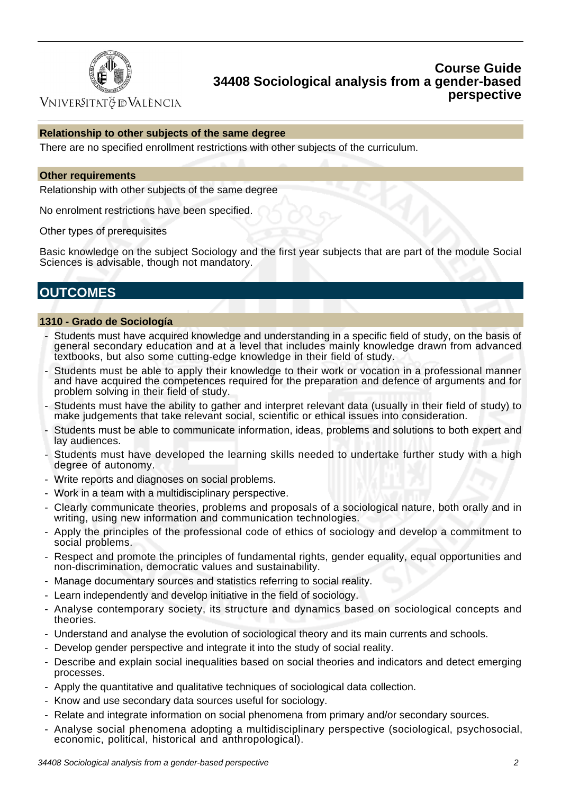

VNIVERSITATÖ IDVALÈNCIA

### **Relationship to other subjects of the same degree**

There are no specified enrollment restrictions with other subjects of the curriculum.

#### **Other requirements**

Relationship with other subjects of the same degree

No enrolment restrictions have been specified.

Other types of prerequisites

Basic knowledge on the subject Sociology and the first year subjects that are part of the module Social Sciences is advisable, though not mandatory.

# **OUTCOMES**

### **1310 - Grado de Sociología**

- Students must have acquired knowledge and understanding in a specific field of study, on the basis of general secondary education and at a level that includes mainly knowledge drawn from advanced textbooks, but also some cutting-edge knowledge in their field of study.
- Students must be able to apply their knowledge to their work or vocation in a professional manner and have acquired the competences required for the preparation and defence of arguments and for problem solving in their field of study.
- Students must have the ability to gather and interpret relevant data (usually in their field of study) to make judgements that take relevant social, scientific or ethical issues into consideration.
- Students must be able to communicate information, ideas, problems and solutions to both expert and lay audiences.
- Students must have developed the learning skills needed to undertake further study with a high degree of autonomy.
- Write reports and diagnoses on social problems.
- Work in a team with a multidisciplinary perspective.
- Clearly communicate theories, problems and proposals of a sociological nature, both orally and in writing, using new information and communication technologies.
- Apply the principles of the professional code of ethics of sociology and develop a commitment to social problems.
- Respect and promote the principles of fundamental rights, gender equality, equal opportunities and non-discrimination, democratic values and sustainability.
- Manage documentary sources and statistics referring to social reality.
- Learn independently and develop initiative in the field of sociology.
- Analyse contemporary society, its structure and dynamics based on sociological concepts and theories.
- Understand and analyse the evolution of sociological theory and its main currents and schools.
- Develop gender perspective and integrate it into the study of social reality.
- Describe and explain social inequalities based on social theories and indicators and detect emerging processes.
- Apply the quantitative and qualitative techniques of sociological data collection.
- Know and use secondary data sources useful for sociology.
- Relate and integrate information on social phenomena from primary and/or secondary sources.
- Analyse social phenomena adopting a multidisciplinary perspective (sociological, psychosocial, economic, political, historical and anthropological).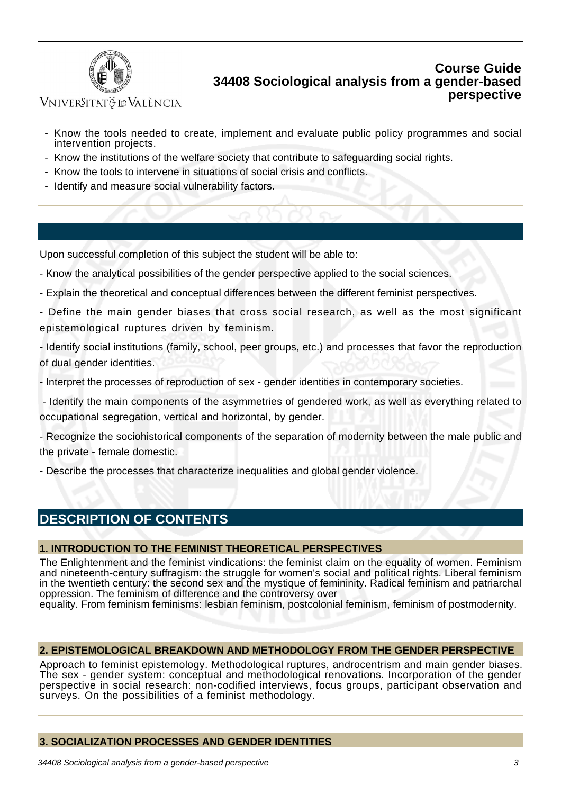

VNIVERSITATÖ ID VALÈNCIA

- Know the tools needed to create, implement and evaluate public policy programmes and social intervention projects.
- Know the institutions of the welfare society that contribute to safeguarding social rights.
- Know the tools to intervene in situations of social crisis and conflicts.
- Identify and measure social vulnerability factors.

Upon successful completion of this subject the student will be able to:

- Know the analytical possibilities of the gender perspective applied to the social sciences.

- Explain the theoretical and conceptual differences between the different feminist perspectives.
- Define the main gender biases that cross social research, as well as the most significant epistemological ruptures driven by feminism.

- Identify social institutions (family, school, peer groups, etc.) and processes that favor the reproduction of dual gender identities.

- Interpret the processes of reproduction of sex - gender identities in contemporary societies.

 - Identify the main components of the asymmetries of gendered work, as well as everything related to occupational segregation, vertical and horizontal, by gender.

- Recognize the sociohistorical components of the separation of modernity between the male public and the private - female domestic.

- Describe the processes that characterize inequalities and global gender violence.

## **DESCRIPTION OF CONTENTS**

### **1. INTRODUCTION TO THE FEMINIST THEORETICAL PERSPECTIVES**

The Enlightenment and the feminist vindications: the feminist claim on the equality of women. Feminism and nineteenth-century suffragism: the struggle for women's social and political rights. Liberal feminism in the twentieth century: the second sex and the mystique of femininity. Radical feminism and patriarchal oppression. The feminism of difference and the controversy over

equality. From feminism feminisms: lesbian feminism, postcolonial feminism, feminism of postmodernity.

### **2. EPISTEMOLOGICAL BREAKDOWN AND METHODOLOGY FROM THE GENDER PERSPECTIVE**

Approach to feminist epistemology. Methodological ruptures, androcentrism and main gender biases. The sex - gender system: conceptual and methodological renovations. Incorporation of the gender perspective in social research: non-codified interviews, focus groups, participant observation and surveys. On the possibilities of a feminist methodology.

### **3. SOCIALIZATION PROCESSES AND GENDER IDENTITIES**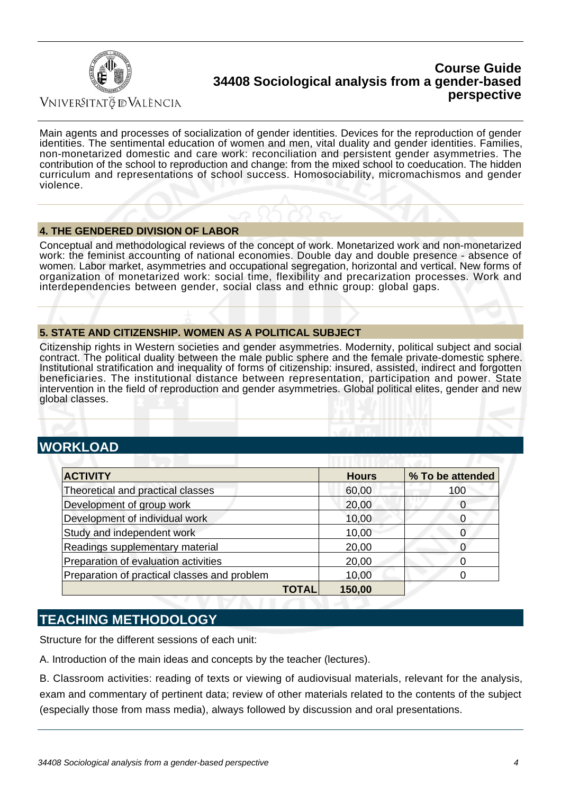

Vniver§itatğ dValència

Main agents and processes of socialization of gender identities. Devices for the reproduction of gender identities. The sentimental education of women and men, vital duality and gender identities. Families, non-monetarized domestic and care work: reconciliation and persistent gender asymmetries. The contribution of the school to reproduction and change: from the mixed school to coeducation. The hidden curriculum and representations of school success. Homosociability, micromachismos and gender violence.

### **4. THE GENDERED DIVISION OF LABOR**

Conceptual and methodological reviews of the concept of work. Monetarized work and non-monetarized work: the feminist accounting of national economies. Double day and double presence - absence of women. Labor market, asymmetries and occupational segregation, horizontal and vertical. New forms of organization of monetarized work: social time, flexibility and precarization processes. Work and interdependencies between gender, social class and ethnic group: global gaps.

### **5. STATE AND CITIZENSHIP. WOMEN AS A POLITICAL SUBJECT**

Citizenship rights in Western societies and gender asymmetries. Modernity, political subject and social contract. The political duality between the male public sphere and the female private-domestic sphere. Institutional stratification and inequality of forms of citizenship: insured, assisted, indirect and forgotten beneficiaries. The institutional distance between representation, participation and power. State intervention in the field of reproduction and gender asymmetries. Global political elites, gender and new global classes.

## **WORKLOAD**

| <b>ACTIVITY</b>                              |       | <b>Hours</b> | % To be attended |
|----------------------------------------------|-------|--------------|------------------|
| Theoretical and practical classes            |       | 60,00        | 100              |
| Development of group work                    |       | 20,00        |                  |
| Development of individual work               |       | 10,00        |                  |
| Study and independent work                   |       | 10,00        |                  |
| Readings supplementary material              |       | 20,00        |                  |
| Preparation of evaluation activities         |       | 20,00        |                  |
| Preparation of practical classes and problem |       | 10,00        |                  |
|                                              | TOTAL | 150,00       |                  |

## **TEACHING METHODOLOGY**

Structure for the different sessions of each unit:

A. Introduction of the main ideas and concepts by the teacher (lectures).

B. Classroom activities: reading of texts or viewing of audiovisual materials, relevant for the analysis, exam and commentary of pertinent data; review of other materials related to the contents of the subject (especially those from mass media), always followed by discussion and oral presentations.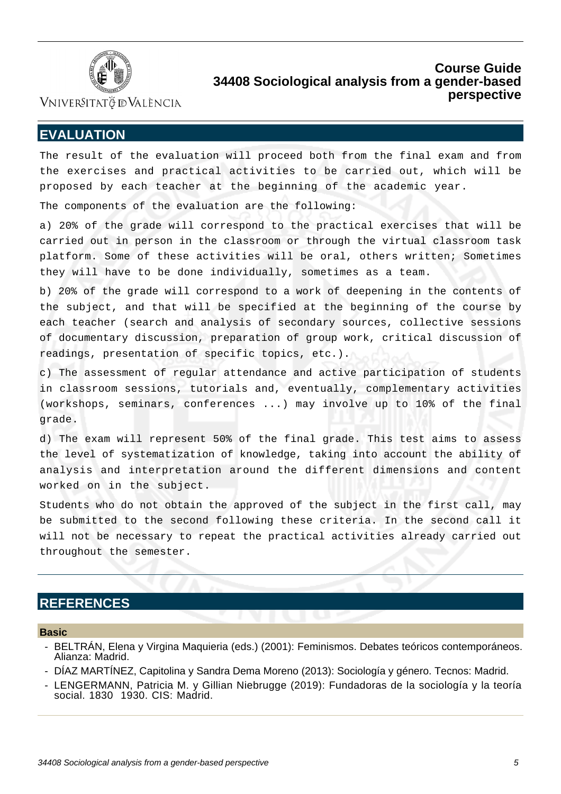

Vniver§itatğ dValència

## **EVALUATION**

The result of the evaluation will proceed both from the final exam and from the exercises and practical activities to be carried out, which will be proposed by each teacher at the beginning of the academic year.

The components of the evaluation are the following:

a) 20% of the grade will correspond to the practical exercises that will be carried out in person in the classroom or through the virtual classroom task platform. Some of these activities will be oral, others written; Sometimes they will have to be done individually, sometimes as a team.

b) 20% of the grade will correspond to a work of deepening in the contents of the subject, and that will be specified at the beginning of the course by each teacher (search and analysis of secondary sources, collective sessions of documentary discussion, preparation of group work, critical discussion of readings, presentation of specific topics, etc.).

c) The assessment of regular attendance and active participation of students in classroom sessions, tutorials and, eventually, complementary activities (workshops, seminars, conferences ...) may involve up to 10% of the final grade.

d) The exam will represent 50% of the final grade. This test aims to assess the level of systematization of knowledge, taking into account the ability of analysis and interpretation around the different dimensions and content worked on in the subject.

Students who do not obtain the approved of the subject in the first call, may be submitted to the second following these criteria. In the second call it will not be necessary to repeat the practical activities already carried out throughout the semester.

## **REFERENCES**

#### **Basic**

- BELTRÁN, Elena y Virgina Maquieria (eds.) (2001): Feminismos. Debates teóricos contemporáneos. Alianza: Madrid.
- DÍAZ MARTÍNEZ, Capitolina y Sandra Dema Moreno (2013): Sociología y género. Tecnos: Madrid.
- LENGERMANN, Patricia M. y Gillian Niebrugge (2019): Fundadoras de la sociología y la teoría social. 1830 1930. CIS: Madrid.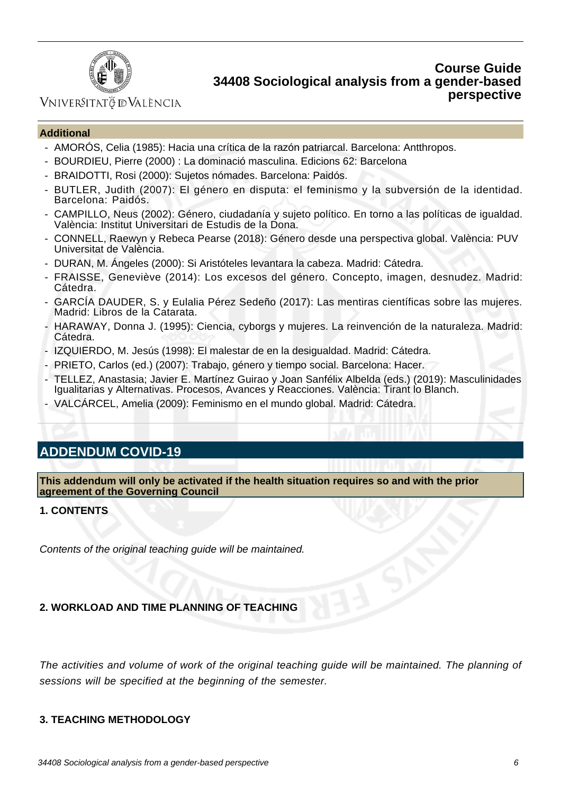

## VNIVERSITATÖ ID VALÈNCIA

### **Additional**

- AMORÓS, Celia (1985): Hacia una crítica de la razón patriarcal. Barcelona: Antthropos.
- BOURDIEU, Pierre (2000) : La dominació masculina. Edicions 62: Barcelona
- BRAIDOTTI, Rosi (2000): Sujetos nómades. Barcelona: Paidós.
- BUTLER, Judith (2007): El género en disputa: el feminismo y la subversión de la identidad. Barcelona: Paidós.
- CAMPILLO, Neus (2002): Género, ciudadanía y sujeto político. En torno a las políticas de igualdad. València: Institut Universitari de Estudis de la Dona.
- CONNELL, Raewyn y Rebeca Pearse (2018): Género desde una perspectiva global. València: PUV Universitat de València.
- DURAN, M. Ángeles (2000): Si Aristóteles levantara la cabeza. Madrid: Cátedra.
- FRAISSE, Geneviève (2014): Los excesos del género. Concepto, imagen, desnudez. Madrid: Cátedra.
- GARCÍA DAUDER, S. y Eulalia Pérez Sedeño (2017): Las mentiras científicas sobre las mujeres. Madrid: Libros de la Catarata.
- HARAWAY, Donna J. (1995): Ciencia, cyborgs y mujeres. La reinvención de la naturaleza. Madrid: Cátedra.
- IZQUIERDO, M. Jesús (1998): El malestar de en la desigualdad. Madrid: Cátedra.
- PRIETO, Carlos (ed.) (2007): Trabajo, género y tiempo social. Barcelona: Hacer.
- TELLEZ, Anastasia; Javier E. Martínez Guirao y Joan Sanfélix Albelda (eds.) (2019): Masculinidades Igualitarias y Alternativas. Procesos, Avances y Reacciones. València: Tirant lo Blanch.
- VALCÁRCEL, Amelia (2009): Feminismo en el mundo global. Madrid: Cátedra.

## **ADDENDUM COVID-19**

**This addendum will only be activated if the health situation requires so and with the prior agreement of the Governing Council**

### **1. CONTENTS**

Contents of the original teaching guide will be maintained.

### **2. WORKLOAD AND TIME PLANNING OF TEACHING**

The activities and volume of work of the original teaching guide will be maintained. The planning of sessions will be specified at the beginning of the semester.

### **3. TEACHING METHODOLOGY**